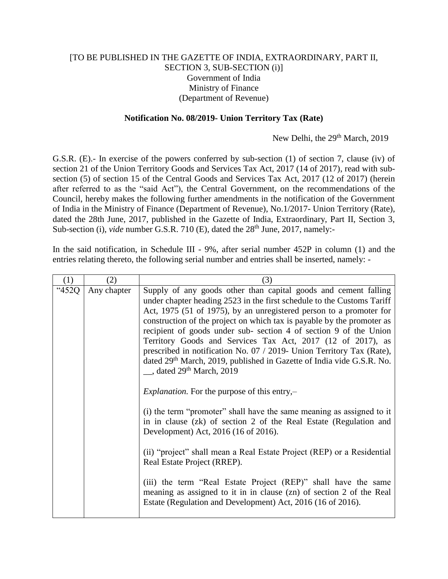## [TO BE PUBLISHED IN THE GAZETTE OF INDIA, EXTRAORDINARY, PART II, SECTION 3, SUB-SECTION (i)] Government of India Ministry of Finance (Department of Revenue)

## **Notification No. 08/2019- Union Territory Tax (Rate)**

New Delhi, the 29<sup>th</sup> March, 2019

G.S.R. (E).- In exercise of the powers conferred by sub-section (1) of section 7, clause (iv) of section 21 of the Union Territory Goods and Services Tax Act, 2017 (14 of 2017), read with subsection (5) of section 15 of the Central Goods and Services Tax Act, 2017 (12 of 2017) (herein after referred to as the "said Act"), the Central Government, on the recommendations of the Council, hereby makes the following further amendments in the notification of the Government of India in the Ministry of Finance (Department of Revenue), No.1/2017- Union Territory (Rate), dated the 28th June, 2017, published in the Gazette of India, Extraordinary, Part II, Section 3, Sub-section (i), *vide* number G.S.R. 710 (E), dated the 28<sup>th</sup> June, 2017, namely:-

In the said notification, in Schedule III - 9%, after serial number 452P in column (1) and the entries relating thereto, the following serial number and entries shall be inserted, namely: -

| (1)   | (2)         | (3)                                                                                                                                                                                                                                                                                                                                                                                                                                                                                                                                                                                                                                        |
|-------|-------------|--------------------------------------------------------------------------------------------------------------------------------------------------------------------------------------------------------------------------------------------------------------------------------------------------------------------------------------------------------------------------------------------------------------------------------------------------------------------------------------------------------------------------------------------------------------------------------------------------------------------------------------------|
| "452Q | Any chapter | Supply of any goods other than capital goods and cement falling<br>under chapter heading 2523 in the first schedule to the Customs Tariff<br>Act, 1975 (51 of 1975), by an unregistered person to a promoter for<br>construction of the project on which tax is payable by the promoter as<br>recipient of goods under sub-section 4 of section 9 of the Union<br>Territory Goods and Services Tax Act, 2017 (12 of 2017), as<br>prescribed in notification No. 07 / 2019- Union Territory Tax (Rate),<br>dated 29 <sup>th</sup> March, 2019, published in Gazette of India vide G.S.R. No.<br>$\_\_$ , dated 29 <sup>th</sup> March, 2019 |
|       |             | <i>Explanation.</i> For the purpose of this entry, $-$                                                                                                                                                                                                                                                                                                                                                                                                                                                                                                                                                                                     |
|       |             | (i) the term "promoter" shall have the same meaning as assigned to it<br>in in clause (zk) of section 2 of the Real Estate (Regulation and<br>Development) Act, 2016 (16 of 2016).                                                                                                                                                                                                                                                                                                                                                                                                                                                         |
|       |             | (ii) "project" shall mean a Real Estate Project (REP) or a Residential<br>Real Estate Project (RREP).                                                                                                                                                                                                                                                                                                                                                                                                                                                                                                                                      |
|       |             | (iii) the term "Real Estate Project (REP)" shall have the same<br>meaning as assigned to it in in clause (zn) of section 2 of the Real<br>Estate (Regulation and Development) Act, 2016 (16 of 2016).                                                                                                                                                                                                                                                                                                                                                                                                                                      |